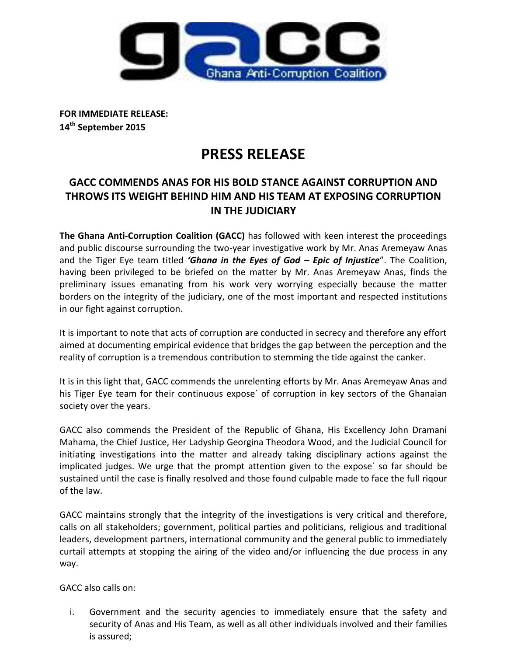

**FOR IMMEDIATE RELEASE: 14th September 2015**

# **PRESS RELEASE**

## **GACC COMMENDS ANAS FOR HIS BOLD STANCE AGAINST CORRUPTION AND THROWS ITS WEIGHT BEHIND HIM AND HIS TEAM AT EXPOSING CORRUPTION IN THE JUDICIARY**

**The Ghana Anti-Corruption Coalition (GACC)** has followed with keen interest the proceedings and public discourse surrounding the two-year investigative work by Mr. Anas Aremeyaw Anas and the Tiger Eye team titled *'Ghana in the Eyes of God – Epic of Injustice*". The Coalition, having been privileged to be briefed on the matter by Mr. Anas Aremeyaw Anas, finds the preliminary issues emanating from his work very worrying especially because the matter borders on the integrity of the judiciary, one of the most important and respected institutions in our fight against corruption.

It is important to note that acts of corruption are conducted in secrecy and therefore any effort aimed at documenting empirical evidence that bridges the gap between the perception and the reality of corruption is a tremendous contribution to stemming the tide against the canker.

It is in this light that, GACC commends the unrelenting efforts by Mr. Anas Aremeyaw Anas and his Tiger Eye team for their continuous expose´ of corruption in key sectors of the Ghanaian society over the years.

GACC also commends the President of the Republic of Ghana, His Excellency John Dramani Mahama, the Chief Justice, Her Ladyship Georgina Theodora Wood, and the Judicial Council for initiating investigations into the matter and already taking disciplinary actions against the implicated judges. We urge that the prompt attention given to the expose´ so far should be sustained until the case is finally resolved and those found culpable made to face the full riqour of the law.

GACC maintains strongly that the integrity of the investigations is very critical and therefore, calls on all stakeholders; government, political parties and politicians, religious and traditional leaders, development partners, international community and the general public to immediately curtail attempts at stopping the airing of the video and/or influencing the due process in any way.

GACC also calls on:

i. Government and the security agencies to immediately ensure that the safety and security of Anas and His Team, as well as all other individuals involved and their families is assured;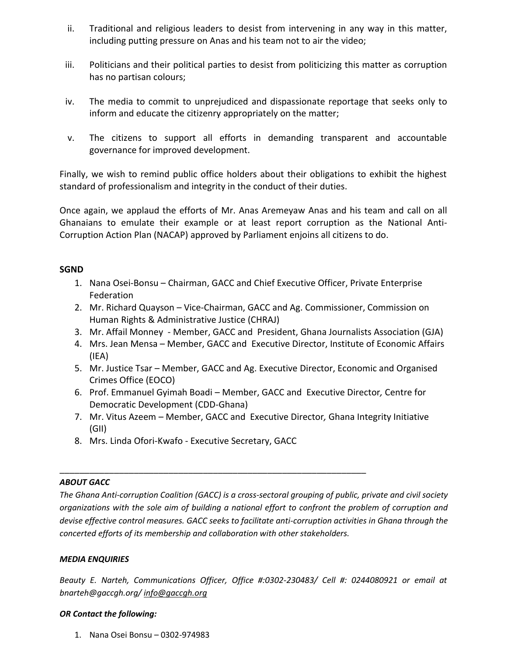- ii. Traditional and religious leaders to desist from intervening in any way in this matter, including putting pressure on Anas and his team not to air the video;
- iii. Politicians and their political parties to desist from politicizing this matter as corruption has no partisan colours;
- iv. The media to commit to unprejudiced and dispassionate reportage that seeks only to inform and educate the citizenry appropriately on the matter;
- v. The citizens to support all efforts in demanding transparent and accountable governance for improved development.

Finally, we wish to remind public office holders about their obligations to exhibit the highest standard of professionalism and integrity in the conduct of their duties.

Once again, we applaud the efforts of Mr. Anas Aremeyaw Anas and his team and call on all Ghanaians to emulate their example or at least report corruption as the National Anti-Corruption Action Plan (NACAP) approved by Parliament enjoins all citizens to do.

### **SGND**

- 1. Nana Osei-Bonsu Chairman, GACC and Chief Executive Officer, Private Enterprise Federation
- 2. Mr. Richard Quayson Vice-Chairman, GACC and Ag. Commissioner, Commission on Human Rights & Administrative Justice (CHRAJ)
- 3. Mr. Affail Monney Member, GACC and President, Ghana Journalists Association (GJA)
- 4. Mrs. Jean Mensa Member, GACC and Executive Director, Institute of Economic Affairs (IEA)
- 5. Mr. Justice Tsar Member, GACC and Ag. Executive Director, Economic and Organised Crimes Office (EOCO)
- 6. Prof. Emmanuel Gyimah Boadi Member, GACC and Executive Director*,* Centre for Democratic Development (CDD-Ghana)
- 7. Mr. Vitus Azeem Member, GACC and Executive Director*,* Ghana Integrity Initiative (GII)
- 8. Mrs. Linda Ofori-Kwafo Executive Secretary, GACC

\_\_\_\_\_\_\_\_\_\_\_\_\_\_\_\_\_\_\_\_\_\_\_\_\_\_\_\_\_\_\_\_\_\_\_\_\_\_\_\_\_\_\_\_\_\_\_\_\_\_\_\_\_\_\_\_\_\_\_\_\_\_

#### *ABOUT GACC*

*The Ghana Anti-corruption Coalition (GACC) is a cross-sectoral grouping of public, private and civil society organizations with the sole aim of building a national effort to confront the problem of corruption and devise effective control measures. GACC seeks to facilitate anti-corruption activities in Ghana through the concerted efforts of its membership and collaboration with other stakeholders.*

#### *MEDIA ENQUIRIES*

*Beauty E. Narteh, Communications Officer, Office #:0302-230483/ Cell #: 0244080921 or email at bnarteh@gaccgh.org/ [info@gaccgh.org](mailto:info@gaccgh.org)*

#### *OR Contact the following:*

1. Nana Osei Bonsu – 0302-974983